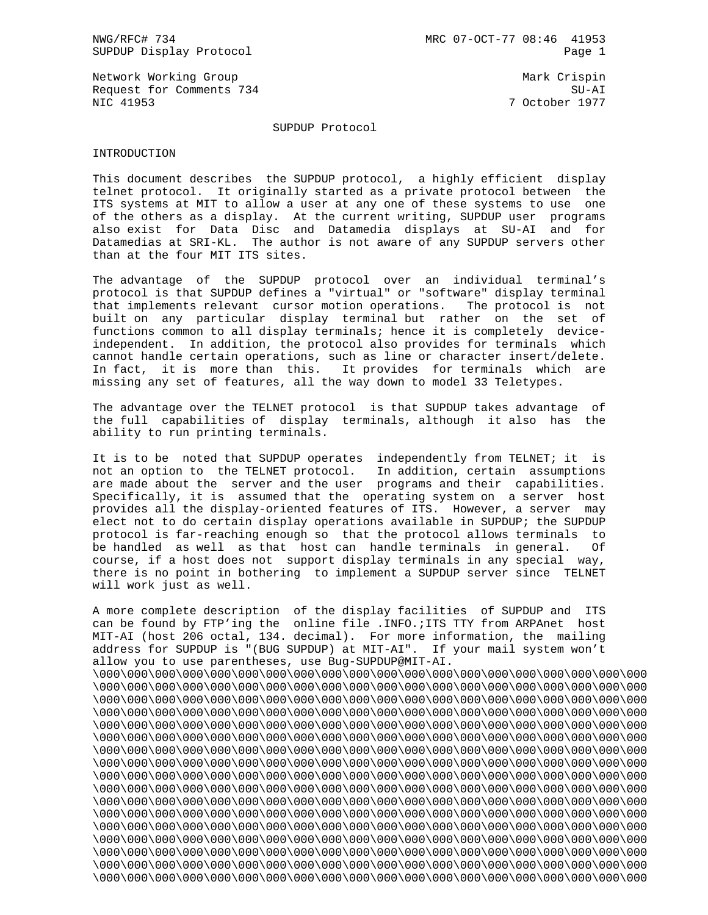Network Working Group Mark Crispin Mark Crispin Request for Comments 734 SU-AI NIC 41953 7 October 1977

### SUPDUP Protocol

#### INTRODUCTION

This document describes the SUPDUP protocol, a highly efficient display telnet protocol. It originally started as a private protocol between the ITS systems at MIT to allow a user at any one of these systems to use one of the others as a display. At the current writing, SUPDUP user programs also exist for Data Disc and Datamedia displays at SU-AI and for Datamedias at SRI-KL. The author is not aware of any SUPDUP servers other than at the four MIT ITS sites.

The advantage of the SUPDUP protocol over an individual terminal's protocol is that SUPDUP defines a "virtual" or "software" display terminal that implements relevant cursor motion operations. The protocol is not built on any particular display terminal but rather on the set of functions common to all display terminals; hence it is completely deviceindependent. In addition, the protocol also provides for terminals which cannot handle certain operations, such as line or character insert/delete. In fact, it is more than this. It provides for terminals which are missing any set of features, all the way down to model 33 Teletypes.

The advantage over the TELNET protocol is that SUPDUP takes advantage of the full capabilities of display terminals, although it also has the ability to run printing terminals.

It is to be noted that SUPDUP operates independently from TELNET; it is not an option to the TELNET protocol. In addition, certain assumptions are made about the server and the user programs and their capabilities. Specifically, it is assumed that the operating system on a server host provides all the display-oriented features of ITS. However, a server may elect not to do certain display operations available in SUPDUP; the SUPDUP protocol is far-reaching enough so that the protocol allows terminals to be handled as well as that host can handle terminals in general. Of course, if a host does not support display terminals in any special way, there is no point in bothering to implement a SUPDUP server since TELNET will work just as well.

A more complete description of the display facilities of SUPDUP and ITS can be found by FTP'ing the online file .INFO.;ITS TTY from ARPAnet host MIT-AI (host 206 octal, 134. decimal). For more information, the mailing address for SUPDUP is "(BUG SUPDUP) at MIT-AI". If your mail system won't allow you to use parentheses, use Bug-SUPDUP@MIT-AI. \000\000\000\000\000\000\000\000\000\000\000\000\000\000\000\000\000\000\000\000 \000\000\000\000\000\000\000\000\000\000\000\000\000\000\000\000\000\000\000\000 \000\000\000\000\000\000\000\000\000\000\000\000\000\000\000\000\000\000\000\000 \000\000\000\000\000\000\000\000\000\000\000\000\000\000\000\000\000\000\000\000 \000\000\000\000\000\000\000\000\000\000\000\000\000\000\000\000\000\000\000\000 \000\000\000\000\000\000\000\000\000\000\000\000\000\000\000\000\000\000\000\000 \000\000\000\000\000\000\000\000\000\000\000\000\000\000\000\000\000\000\000\000 \000\000\000\000\000\000\000\000\000\000\000\000\000\000\000\000\000\000\000\000 \000\000\000\000\000\000\000\000\000\000\000\000\000\000\000\000\000\000\000\000 \000\000\000\000\000\000\000\000\000\000\000\000\000\000\000\000\000\000\000\000 \000\000\000\000\000\000\000\000\000\000\000\000\000\000\000\000\000\000\000\000 \000\000\000\000\000\000\000\000\000\000\000\000\000\000\000\000\000\000\000\000 \000\000\000\000\000\000\000\000\000\000\000\000\000\000\000\000\000\000\000\000 \000\000\000\000\000\000\000\000\000\000\000\000\000\000\000\000\000\000\000\000 \000\000\000\000\000\000\000\000\000\000\000\000\000\000\000\000\000\000\000\000 \000\000\000\000\000\000\000\000\000\000\000\000\000\000\000\000\000\000\000\000 \000\000\000\000\000\000\000\000\000\000\000\000\000\000\000\000\000\000\000\000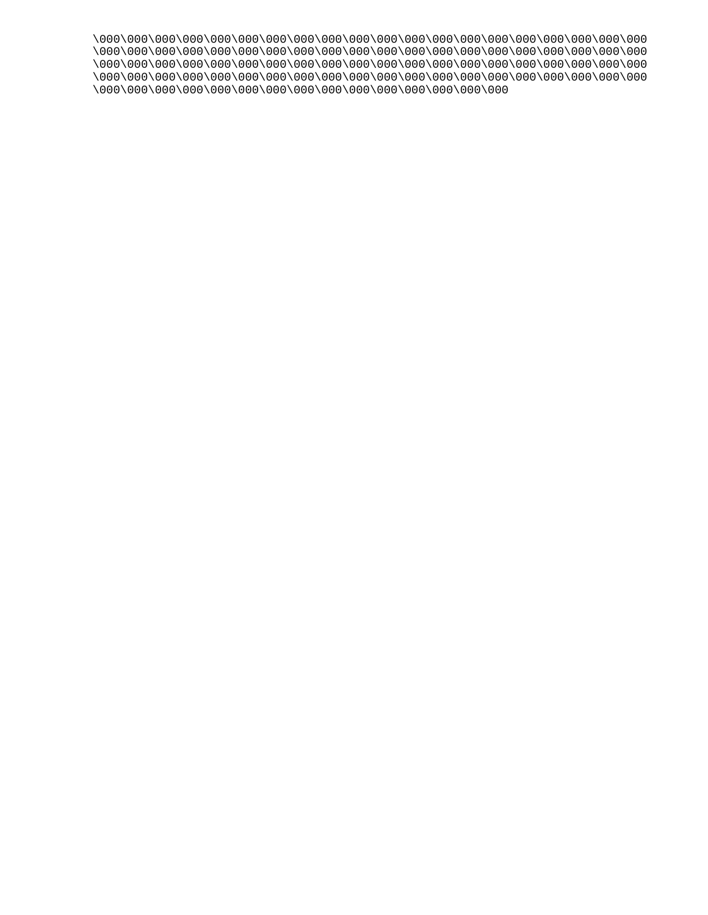\000\000\000\000\000\000\000\000\000\000\000\000\000\000\000\000\000\000\000\000 \000\000\000\000\000\000\000\000\000\000\000\000\000\000\000\000\000\000\000\000 \000\000\000\000\000\000\000\000\000\000\000\000\000\000\000\000\000\000\000\000 \000\000\000\000\000\000\000\000\000\000\000\000\000\000\000\000\000\000\000\000\ \000\000\000\000\000\000\000\000\000\000\000\000\000\000\000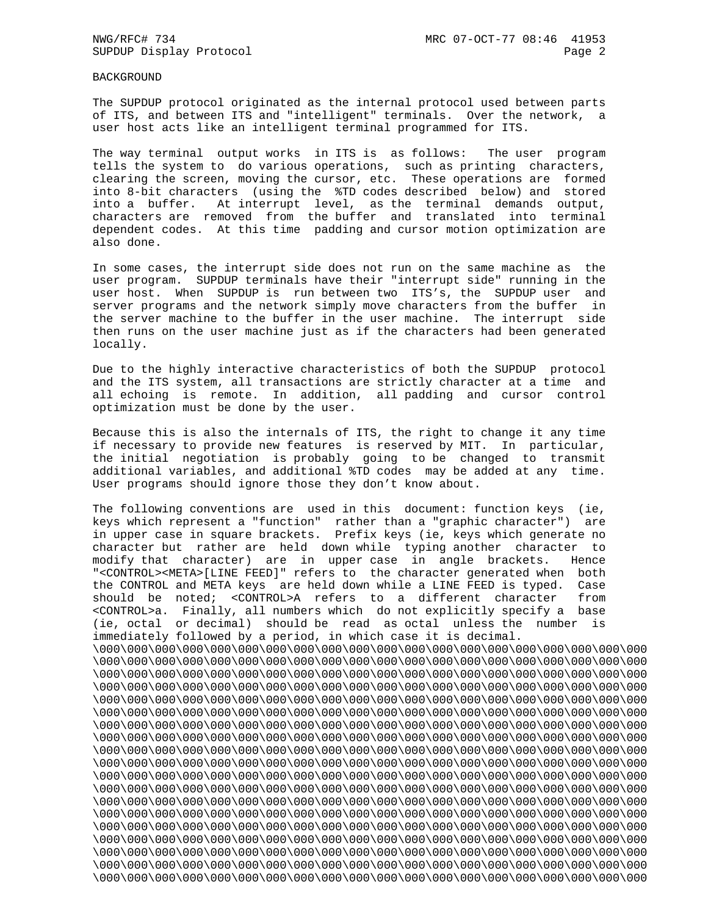## BACKGROUND

The SUPDUP protocol originated as the internal protocol used between parts of ITS, and between ITS and "intelligent" terminals. Over the network, a user host acts like an intelligent terminal programmed for ITS.

The way terminal output works in ITS is as follows: The user program tells the system to do various operations, such as printing characters, clearing the screen, moving the cursor, etc. These operations are formed into 8-bit characters (using the %TD codes described below) and stored into a buffer. At interrupt level, as the terminal demands output, characters are removed from the buffer and translated into terminal dependent codes. At this time padding and cursor motion optimization are also done.

In some cases, the interrupt side does not run on the same machine as the user program. SUPDUP terminals have their "interrupt side" running in the user host. When SUPDUP is run between two ITS's, the SUPDUP user and server programs and the network simply move characters from the buffer in the server machine to the buffer in the user machine. The interrupt side then runs on the user machine just as if the characters had been generated locally.

Due to the highly interactive characteristics of both the SUPDUP protocol and the ITS system, all transactions are strictly character at a time and all echoing is remote. In addition, all padding and cursor control optimization must be done by the user.

Because this is also the internals of ITS, the right to change it any time if necessary to provide new features is reserved by MIT. In particular, the initial negotiation is probably going to be changed to transmit additional variables, and additional %TD codes may be added at any time. User programs should ignore those they don't know about.

The following conventions are used in this document: function keys (ie, keys which represent a "function" rather than a "graphic character") are in upper case in square brackets. Prefix keys (ie, keys which generate no character but rather are held down while typing another character to modify that character) are in upper case in angle brackets. Hence "<CONTROL><META>[LINE FEED]" refers to the character generated when both the CONTROL and META keys are held down while a LINE FEED is typed. Case should be noted; <CONTROL>A refers to a different character from <CONTROL>a. Finally, all numbers which do not explicitly specify a base (ie, octal or decimal) should be read as octal unless the number is immediately followed by a period, in which case it is decimal. \000\000\000\000\000\000\000\000\000\000\000\000\000\000\000\000\000\000\000\000 \000\000\000\000\000\000\000\000\000\000\000\000\000\000\000\000\000\000\000\000 \000\000\000\000\000\000\000\000\000\000\000\000\000\000\000\000\000\000\000\000 \000\000\000\000\000\000\000\000\000\000\000\000\000\000\000\000\000\000\000\000 \000\000\000\000\000\000\000\000\000\000\000\000\000\000\000\000\000\000\000\000 \000\000\000\000\000\000\000\000\000\000\000\000\000\000\000\000\000\000\000\000 \000\000\000\000\000\000\000\000\000\000\000\000\000\000\000\000\000\000\000\000 \000\000\000\000\000\000\000\000\000\000\000\000\000\000\000\000\000\000\000\000 \000\000\000\000\000\000\000\000\000\000\000\000\000\000\000\000\000\000\000\000 \000\000\000\000\000\000\000\000\000\000\000\000\000\000\000\000\000\000\000\000 \000\000\000\000\000\000\000\000\000\000\000\000\000\000\000\000\000\000\000\000 \000\000\000\000\000\000\000\000\000\000\000\000\000\000\000\000\000\000\000\000 \000\000\000\000\000\000\000\000\000\000\000\000\000\000\000\000\000\000\000\000 \000\000\000\000\000\000\000\000\000\000\000\000\000\000\000\000\000\000\000\000 \000\000\000\000\000\000\000\000\000\000\000\000\000\000\000\000\000\000\000\000 \000\000\000\000\000\000\000\000\000\000\000\000\000\000\000\000\000\000\000\000 \000\000\000\000\000\000\000\000\000\000\000\000\000\000\000\000\000\000\000\000 \000\000\000\000\000\000\000\000\000\000\000\000\000\000\000\000\000\000\000\000 \000\000\000\000\000\000\000\000\000\000\000\000\000\000\000\000\000\000\000\000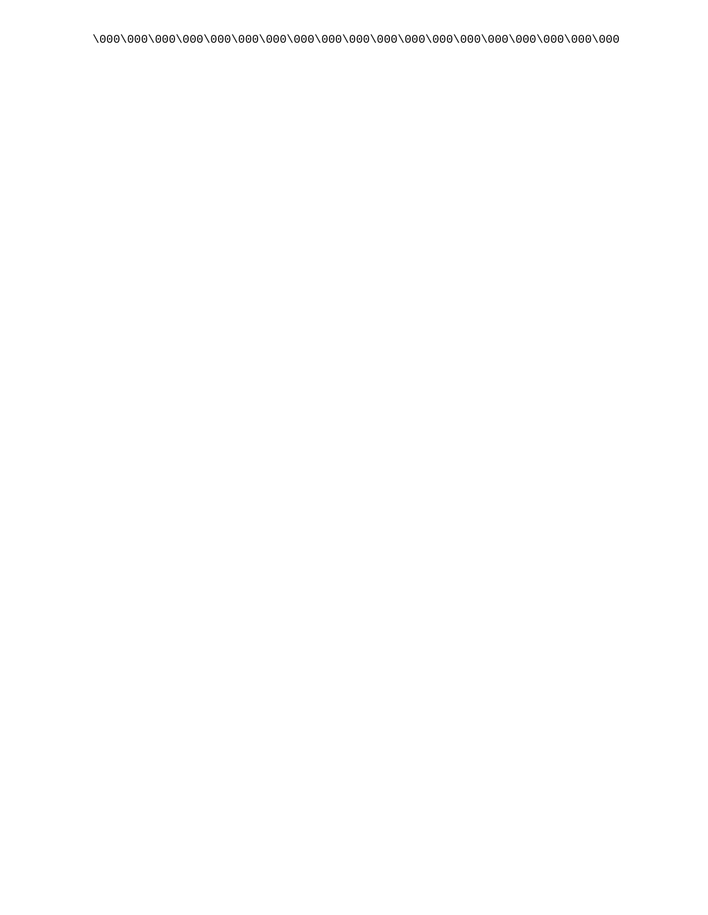\000\000\000\000\000\000\000\000\000\000\000\000\000\000\000\000\000\000\000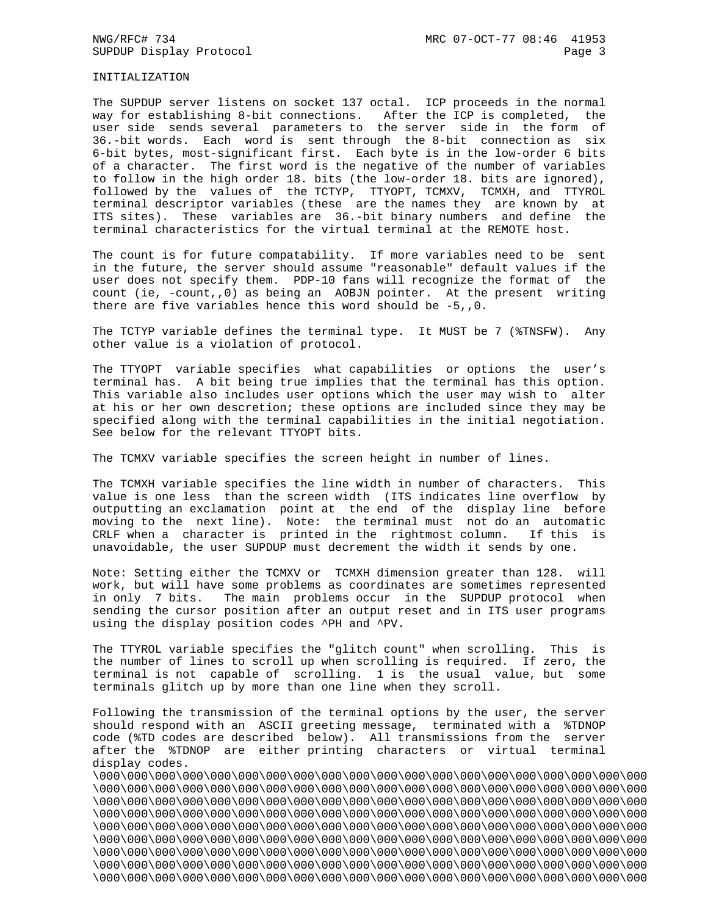INITIALIZATION

The SUPDUP server listens on socket 137 octal. ICP proceeds in the normal way for establishing 8-bit connections. After the ICP is completed, the user side sends several parameters to the server side in the form of 36.-bit words. Each word is sent through the 8-bit connection as six 6-bit bytes, most-significant first. Each byte is in the low-order 6 bits of a character. The first word is the negative of the number of variables to follow in the high order 18. bits (the low-order 18. bits are ignored), followed by the values of the TCTYP, TTYOPT, TCMXV, TCMXH, and TTYROL terminal descriptor variables (these are the names they are known by at ITS sites). These variables are 36.-bit binary numbers and define the terminal characteristics for the virtual terminal at the REMOTE host.

The count is for future compatability. If more variables need to be sent in the future, the server should assume "reasonable" default values if the user does not specify them. PDP-10 fans will recognize the format of the count (ie, -count,,0) as being an AOBJN pointer. At the present writing there are five variables hence this word should be -5,,0.

The TCTYP variable defines the terminal type. It MUST be 7 (%TNSFW). Any other value is a violation of protocol.

The TTYOPT variable specifies what capabilities or options the user's terminal has. A bit being true implies that the terminal has this option. This variable also includes user options which the user may wish to alter at his or her own descretion; these options are included since they may be specified along with the terminal capabilities in the initial negotiation. See below for the relevant TTYOPT bits.

The TCMXV variable specifies the screen height in number of lines.

The TCMXH variable specifies the line width in number of characters. This value is one less than the screen width (ITS indicates line overflow by outputting an exclamation point at the end of the display line before moving to the next line). Note: the terminal must not do an automatic CRLF when a character is printed in the rightmost column. If this is unavoidable, the user SUPDUP must decrement the width it sends by one.

Note: Setting either the TCMXV or TCMXH dimension greater than 128. will work, but will have some problems as coordinates are sometimes represented in only 7 bits. The main problems occur in the SUPDUP protocol when sending the cursor position after an output reset and in ITS user programs using the display position codes ^PH and ^PV.

The TTYROL variable specifies the "glitch count" when scrolling. This is the number of lines to scroll up when scrolling is required. If zero, the terminal is not capable of scrolling. 1 is the usual value, but some terminals glitch up by more than one line when they scroll.

Following the transmission of the terminal options by the user, the server should respond with an ASCII greeting message, terminated with a %TDNOP code (%TD codes are described below). All transmissions from the server after the %TDNOP are either printing characters or virtual terminal display codes.

\000\000\000\000\000\000\000\000\000\000\000\000\000\000\000\000\000\000\000\000 \000\000\000\000\000\000\000\000\000\000\000\000\000\000\000\000\000\000\000\000 \000\000\000\000\000\000\000\000\000\000\000\000\000\000\000\000\000\000\000\000 \000\000\000\000\000\000\000\000\000\000\000\000\000\000\000\000\000\000\000\000 \000\000\000\000\000\000\000\000\000\000\000\000\000\000\000\000\000\000\000\000 \000\000\000\000\000\000\000\000\000\000\000\000\000\000\000\000\000\000\000\000 \000\000\000\000\000\000\000\000\000\000\000\000\000\000\000\000\000\000\000\000 \000\000\000\000\000\000\000\000\000\000\000\000\000\000\000\000\000\000\000\000 \000\000\000\000\000\000\000\000\000\000\000\000\000\000\000\000\000\000\000\000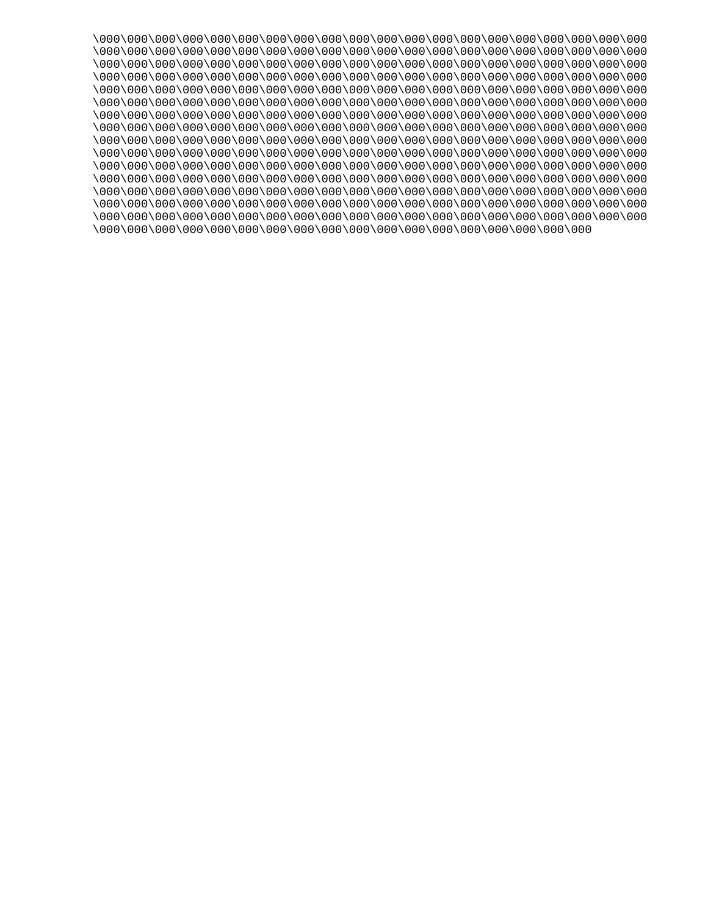\000\000\000\000\000\000\000\000\000\000\000\000\000\000\000\000\000\000\000\000 \000\000\000\000\000\000\000\000\000\000\000\000\000\000\000\000\000\000\000\000 \000\000\000\000\000\000\000\000\000\000\000\000\000\000\000\000\000\000\000\000 \000\000\000\000\000\000\000\000\000\000\000\000\000\000\000\000\000\000\000\000 \000\000\000\000\000\000\000\000\000\000\000\000\000\000\000\000\000\000\000\000 \000\000\000\000\000\000\000\000\000\000\000\000\000\000\000\000\000\000\000\000 \000\000\000\000\000\000\000\000\000\000\000\000\000\000\000\000\000\000\000\000 \000\000\000\000\000\000\000\000\000\000\000\000\000\000\000\000\000\000\000\000 \000\000\000\000\000\000\000\000\000\000\000\000\000\000\000\000\000\000\000\000 \000\000\000\000\000\000\000\000\000\000\000\000\000\000\000\000\000\000\000\000 \000\000\000\000\000\000\000\000\000\000\000\000\000\000\000\000\000\000\000\000 \000\000\000\000\000\000\000\000\000\000\000\000\000\000\000\000\000\000\000\000 \000\000\000\000\000\000\000\000\000\000\000\000\000\000\000\000\000\000\000\000 \000\000\000\000\000\000\000\000\000\000\000\000\000\000\000\000\000\000\000\000 \000\000\000\000\000\000\000\000\000\000\000\000\000\000\000\000\000\000\000\000 \000\000\000\000\000\000\000\000\000\000\000\000\000\000\000\000\000\000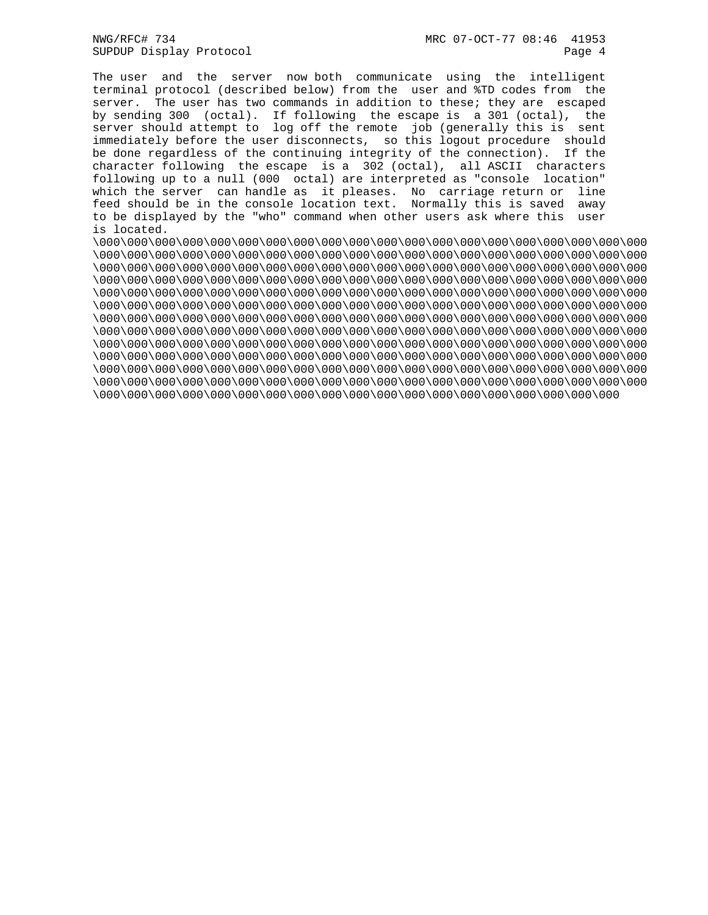The user and the server now both communicate using the intelligent terminal protocol (described below) from the user and %TD codes from the server. The user has two commands in addition to these; they are escaped by sending 300 (octal). If following the escape is a 301 (octal), the server should attempt to log off the remote job (generally this is sent immediately before the user disconnects, so this logout procedure should be done regardless of the continuing integrity of the connection). If the character following the escape is a 302 (octal), all ASCII characters following up to a null (000 octal) are interpreted as "console location" which the server can handle as it pleases. No carriage return or line feed should be in the console location text. Normally this is saved away to be displayed by the "who" command when other users ask where this user is located.

\000\000\000\000\000\000\000\000\000\000\000\000\000\000\000\000\000\000\000\000 \000\000\000\000\000\000\000\000\000\000\000\000\000\000\000\000\000\000\000\000 \000\000\000\000\000\000\000\000\000\000\000\000\000\000\000\000\000\000\000\000 \000\000\000\000\000\000\000\000\000\000\000\000\000\000\000\000\000\000\000\000 \000\000\000\000\000\000\000\000\000\000\000\000\000\000\000\000\000\000\000\000 \000\000\000\000\000\000\000\000\000\000\000\000\000\000\000\000\000\000\000\000 \000\000\000\000\000\000\000\000\000\000\000\000\000\000\000\000\000\000\000\000 \000\000\000\000\000\000\000\000\000\000\000\000\000\000\000\000\000\000\000\000 \000\000\000\000\000\000\000\000\000\000\000\000\000\000\000\000\000\000\000\000 \000\000\000\000\000\000\000\000\000\000\000\000\000\000\000\000\000\000\000\000 \000\000\000\000\000\000\000\000\000\000\000\000\000\000\000\000\000\000\000\000 \000\000\000\000\000\000\000\000\000\000\000\000\000\000\000\000\000\000\000\000 \000\000\000\000\000\000\000\000\000\000\000\000\000\000\000\000\000\000\000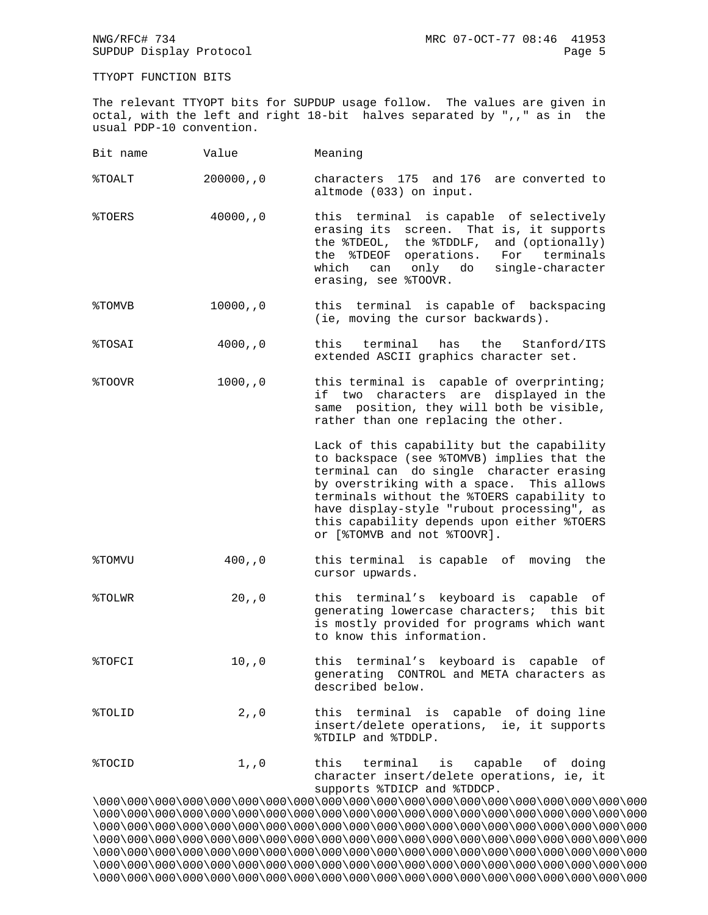TTYOPT FUNCTION BITS

The relevant TTYOPT bits for SUPDUP usage follow. The values are given in octal, with the left and right 18-bit halves separated by ",," as in the usual PDP-10 convention.

| Bit name          | Value        | Meaning                                                                                                                                                                                                                                                                                                                                                    |
|-------------------|--------------|------------------------------------------------------------------------------------------------------------------------------------------------------------------------------------------------------------------------------------------------------------------------------------------------------------------------------------------------------------|
| %TOALT            | 200000, 0    | characters 175 and 176<br>are converted to<br>altmode (033) on input.                                                                                                                                                                                                                                                                                      |
| %TOERS            | 40000, 0     | this terminal is capable of selectively<br>erasing its screen.<br>That is, it supports<br>the %TDEOL, the %TDDLF, and (optionally)<br>the %TDEOF operations. For terminals<br>which can<br>only do<br>single-character<br>erasing, see %TOOVR.                                                                                                             |
| %TOMVB            | 10000, 0     | this terminal is capable of backspacing<br>(ie, moving the cursor backwards).                                                                                                                                                                                                                                                                              |
| %TOSAI            | 4000, 0      | this<br>terminal<br>the<br>has<br>Stanford/ITS<br>extended ASCII graphics character set.                                                                                                                                                                                                                                                                   |
| %TOOVR            | 1000, 0      | this terminal is capable of overprinting;<br>characters are displayed in the<br>if two<br>same position, they will both be visible,<br>rather than one replacing the other.                                                                                                                                                                                |
|                   |              | Lack of this capability but the capability<br>to backspace (see %TOMVB) implies that the<br>terminal can do single character erasing<br>by overstriking with a space. This allows<br>terminals without the %TOERS capability to<br>have display-style "rubout processing", as<br>this capability depends upon either %TOERS<br>or [%TOMVB and not %TOOVR]. |
| <b>&amp;TOMVU</b> | 400, 0       | this terminal is capable of moving<br>the<br>cursor upwards.                                                                                                                                                                                                                                                                                               |
| %TOLWR            | 20, 0        | this terminal's keyboard is capable of<br>generating lowercase characters; this bit<br>is mostly provided for programs which want<br>to know this information.                                                                                                                                                                                             |
| %TOFCI            | $10$ , , $0$ | terminal's keyboard is<br>this<br>capable<br>οf<br>generating CONTROL and META characters as<br>described below.                                                                                                                                                                                                                                           |
| %TOLID            | 2, 0         | this terminal is capable of doing line<br>insert/delete operations, ie, it supports<br>%TDILP and %TDDLP.                                                                                                                                                                                                                                                  |
| %TOCID            | $1$ , , $0$  | this terminal is capable of doing<br>character insert/delete operations, ie, it<br>supports %TDICP and %TDDCP.                                                                                                                                                                                                                                             |
|                   |              | \000\000\000\000\000\000\000\000\000\000\000\000\000\000\000\000\000\000\000\000\                                                                                                                                                                                                                                                                          |

\000\000\000\000\000\000\000\000\000\000\000\000\000\000\000\000\000\000\000\000 \000\000\000\000\000\000\000\000\000\000\000\000\000\000\000\000\000\000\000\000 \000\000\000\000\000\000\000\000\000\000\000\000\000\000\000\000\000\000\000\000 \000\000\000\000\000\000\000\000\000\000\000\000\000\000\000\000\000\000\000\000 \000\000\000\000\000\000\000\000\000\000\000\000\000\000\000\000\000\000\000\000 \000\000\000\000\000\000\000\000\000\000\000\000\000\000\000\000\000\000\000\000 \000\000\000\000\000\000\000\000\000\000\000\000\000\000\000\000\000\000\000\000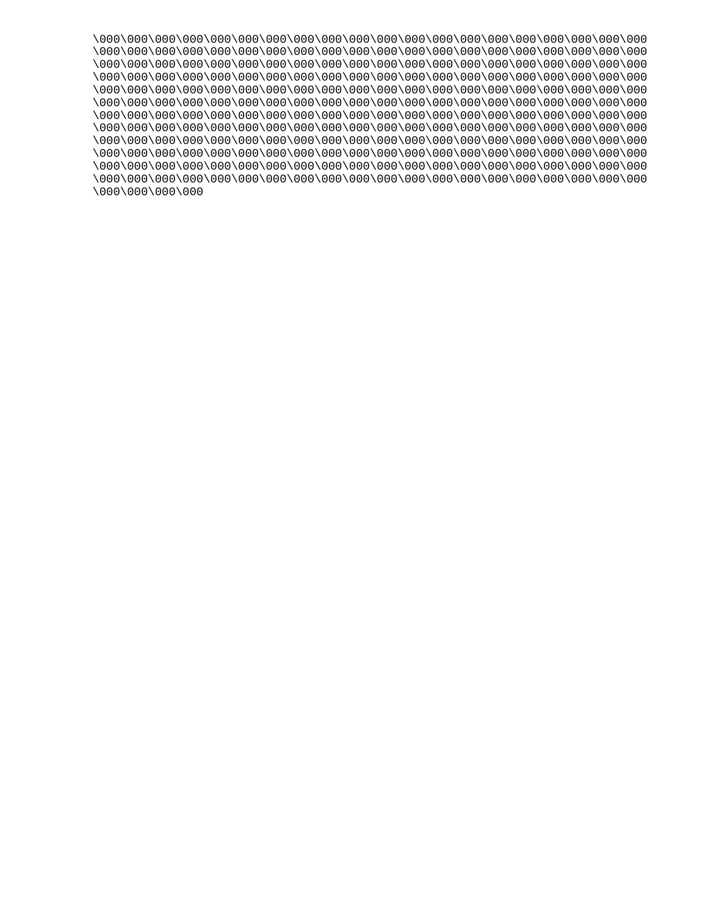\000\000\000\000\000\000\000\000\000\000\000\000\000\000\000\000\000\000\000\000 \000\000\000\000\000\000\000\000\000\000\000\000\000\000\000\000\000\000\000\000 \000\000\000\000\000\000\000\000\000\000\000\000\000\000\000\000\000\000\000\000 \000\000\000\000\000\000\000\000\000\000\000\000\000\000\000\000\000\000\000\000 \000\000\000\000\000\000\000\000\000\000\000\000\000\000\000\000\000\000\000\000 \000\000\000\000\000\000\000\000\000\000\000\000\000\000\000\000\000\000\000\000 \000\000\000\000\000\000\000\000\000\000\000\000\000\000\000\000\000\000\000\000 \000\000\000\000\000\000\000\000\000\000\000\000\000\000\000\000\000\000\000\000 \000\000\000\000\000\000\000\000\000\000\000\000\000\000\000\000\000\000\000\000 \000\000\000\000\000\000\000\000\000\000\000\000\000\000\000\000\000\000\000\000 \000\000\000\000\000\000\000\000\000\000\000\000\000\000\000\000\000\000\000\000 \000\000\000\000\000\000\000\000\000\000\000\000\000\000\000\000\000\000\000\000 \000\000\000\000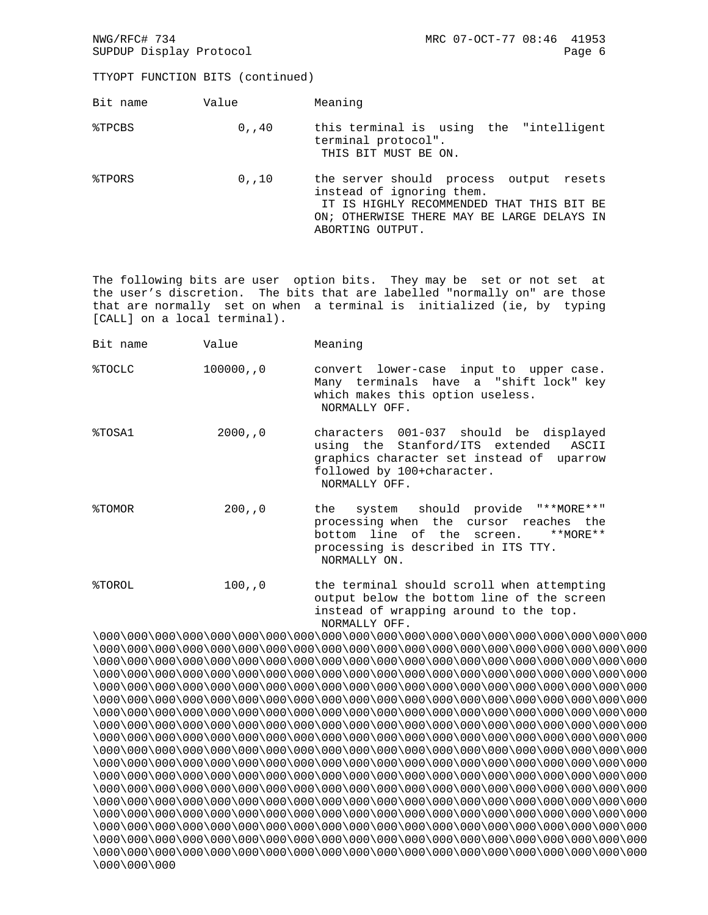## TTYOPT FUNCTION BITS (continued)

| Bit name | Value    | Meaning                                                                                                                                                                             |
|----------|----------|-------------------------------------------------------------------------------------------------------------------------------------------------------------------------------------|
| %TPCBS   | 0.740    | this terminal is using the "intelligent<br>terminal protocol".<br>THIS BIT MUST BE ON.                                                                                              |
| %TPORS   | $0$ ,,10 | the server should process output resets<br>instead of ignoring them.<br>IT IS HIGHLY RECOMMENDED THAT THIS BIT BE<br>ON; OTHERWISE THERE MAY BE LARGE DELAYS IN<br>ABORTING OUTPUT. |

The following bits are user option bits. They may be set or not set at the user's discretion. The bits that are labelled "normally on" are those that are normally set on when a terminal is initialized (ie, by typing [CALL] on a local terminal).

| Bit name | Value     | Meaning                                                                                                                                                                         |
|----------|-----------|---------------------------------------------------------------------------------------------------------------------------------------------------------------------------------|
| %TOCLC   | 100000, 0 | convert lower-case input to upper case.<br>Many terminals have a "shift lock" key<br>which makes this option useless.<br>NORMALLY OFF.                                          |
| %TOSA1   | 2000, 0   | characters 001-037 should be displayed<br>using the Stanford/ITS extended ASCII<br>graphics character set instead of uparrow<br>followed by 100+character.<br>NORMALLY OFF.     |
| %TOMOR   | 200, 0    | the system should provide "**MORE**"<br>processing when the cursor reaches the<br>bottom line of the screen.<br>**MORE**<br>processing is described in ITS TTY.<br>NORMALLY ON. |
| %TOROL   | 100, 0    | the terminal should scroll when attempting<br>contracts. The Treas in the Charles and Traditional Charles and a contracts                                                       |

 output below the bottom line of the screen instead of wrapping around to the top. NORMALLY OFF.

\000\000\000\000\000\000\000\000\000\000\000\000\000\000\000\000\000\000\000\000 \000\000\000\000\000\000\000\000\000\000\000\000\000\000\000\000\000\000\000\000 \000\000\000\000\000\000\000\000\000\000\000\000\000\000\000\000\000\000\000\000 \000\000\000\000\000\000\000\000\000\000\000\000\000\000\000\000\000\000\000\000 \000\000\000\000\000\000\000\000\000\000\000\000\000\000\000\000\000\000\000\000 \000\000\000\000\000\000\000\000\000\000\000\000\000\000\000\000\000\000\000\000 \000\000\000\000\000\000\000\000\000\000\000\000\000\000\000\000\000\000\000\000 \000\000\000\000\000\000\000\000\000\000\000\000\000\000\000\000\000\000\000\000 \000\000\000\000\000\000\000\000\000\000\000\000\000\000\000\000\000\000\000\000 \000\000\000\000\000\000\000\000\000\000\000\000\000\000\000\000\000\000\000\000 \000\000\000\000\000\000\000\000\000\000\000\000\000\000\000\000\000\000\000\000 \000\000\000\000\000\000\000\000\000\000\000\000\000\000\000\000\000\000\000\000 \000\000\000\000\000\000\000\000\000\000\000\000\000\000\000\000\000\000\000\000 \000\000\000\000\000\000\000\000\000\000\000\000\000\000\000\000\000\000\000\000 \000\000\000\000\000\000\000\000\000\000\000\000\000\000\000\000\000\000\000\000 \000\000\000\000\000\000\000\000\000\000\000\000\000\000\000\000\000\000\000\000 \000\000\000\000\000\000\000\000\000\000\000\000\000\000\000\000\000\000\000\000 \000\000\000\000\000\000\000\000\000\000\000\000\000\000\000\000\000\000\000\000 \000\000\000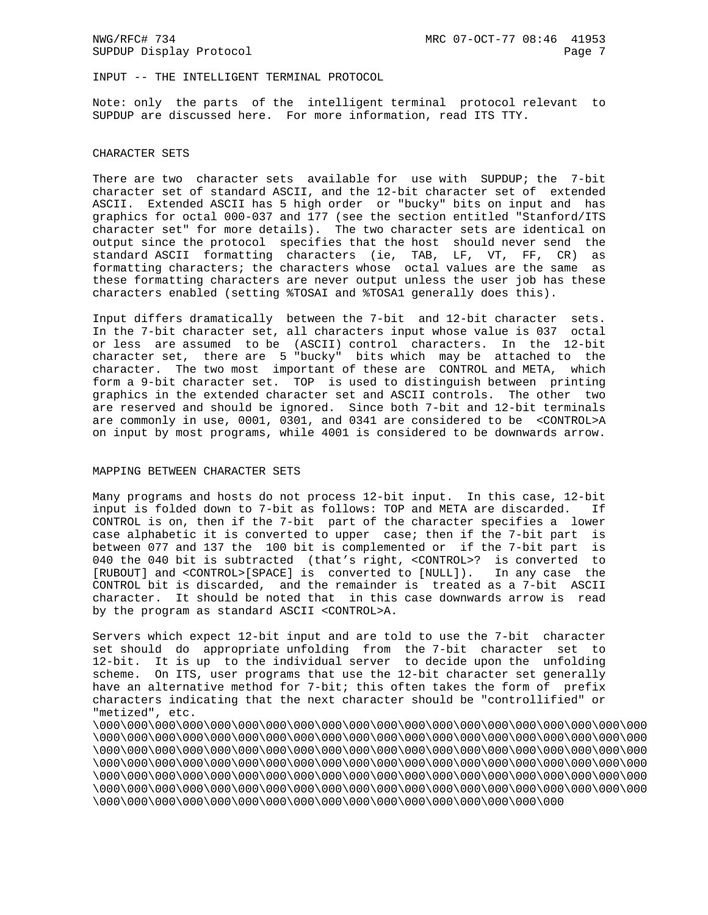INPUT -- THE INTELLIGENT TERMINAL PROTOCOL

Note: only the parts of the intelligent terminal protocol relevant to SUPDUP are discussed here. For more information, read ITS TTY.

# CHARACTER SETS

There are two character sets available for use with SUPDUP; the 7-bit character set of standard ASCII, and the 12-bit character set of extended ASCII. Extended ASCII has 5 high order or "bucky" bits on input and has graphics for octal 000-037 and 177 (see the section entitled "Stanford/ITS character set" for more details). The two character sets are identical on output since the protocol specifies that the host should never send the standard ASCII formatting characters (ie, TAB, LF, VT, FF, CR) as formatting characters; the characters whose octal values are the same as these formatting characters are never output unless the user job has these characters enabled (setting %TOSAI and %TOSA1 generally does this).

Input differs dramatically between the 7-bit and 12-bit character sets. In the 7-bit character set, all characters input whose value is 037 octal or less are assumed to be (ASCII) control characters. In the 12-bit character set, there are 5 "bucky" bits which may be attached to the character. The two most important of these are CONTROL and META, which form a 9-bit character set. TOP is used to distinguish between printing graphics in the extended character set and ASCII controls. The other two are reserved and should be ignored. Since both 7-bit and 12-bit terminals are commonly in use, 0001, 0301, and 0341 are considered to be <CONTROL>A on input by most programs, while 4001 is considered to be downwards arrow.

## MAPPING BETWEEN CHARACTER SETS

Many programs and hosts do not process 12-bit input. In this case, 12-bit input is folded down to 7-bit as follows: TOP and META are discarded. If CONTROL is on, then if the 7-bit part of the character specifies a lower case alphabetic it is converted to upper case; then if the 7-bit part is between 077 and 137 the 100 bit is complemented or if the 7-bit part is 040 the 040 bit is subtracted (that's right, <CONTROL>? is converted to [RUBOUT] and <CONTROL>[SPACE] is converted to [NULL]). In any case the CONTROL bit is discarded, and the remainder is treated as a 7-bit ASCII character. It should be noted that in this case downwards arrow is read by the program as standard ASCII <CONTROL>A.

Servers which expect 12-bit input and are told to use the 7-bit character set should do appropriate unfolding from the 7-bit character set to 12-bit. It is up to the individual server to decide upon the unfolding scheme. On ITS, user programs that use the 12-bit character set generally have an alternative method for 7-bit; this often takes the form of prefix characters indicating that the next character should be "controllified" or "metized", etc.

\000\000\000\000\000\000\000\000\000\000\000\000\000\000\000\000\000\000\000\000 \000\000\000\000\000\000\000\000\000\000\000\000\000\000\000\000\000\000\000\000 \000\000\000\000\000\000\000\000\000\000\000\000\000\000\000\000\000\000\000\000 \000\000\000\000\000\000\000\000\000\000\000\000\000\000\000\000\000\000\000\000 \000\000\000\000\000\000\000\000\000\000\000\000\000\000\000\000\000\000\000\000 \000\000\000\000\000\000\000\000\000\000\000\000\000\000\000\000\000\000\000\000 \000\000\000\000\000\000\000\000\000\000\000\000\000\000\000\000\000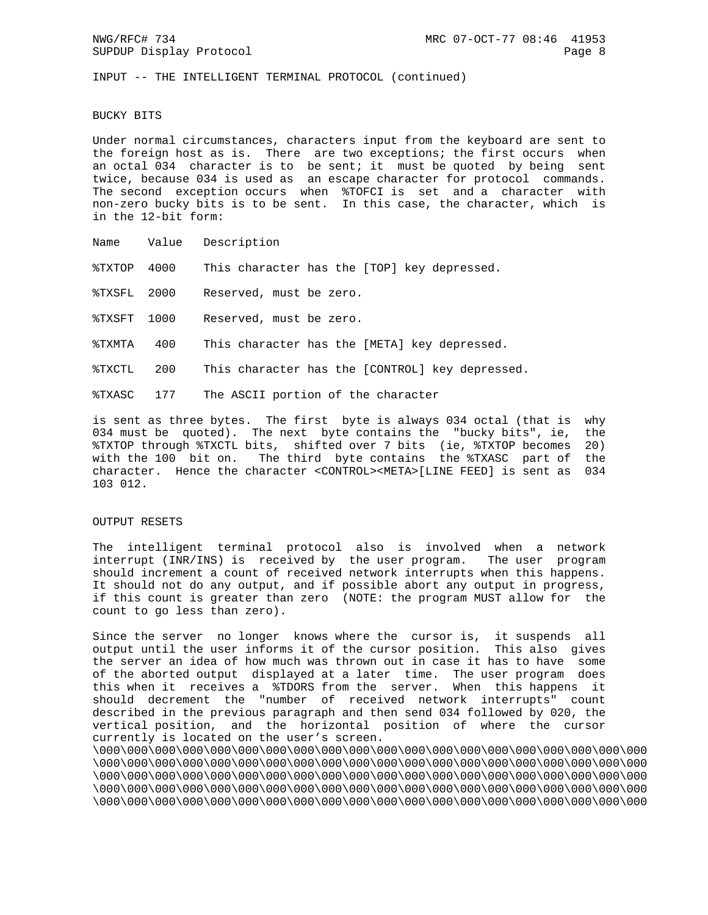INPUT -- THE INTELLIGENT TERMINAL PROTOCOL (continued)

#### BUCKY BITS

Under normal circumstances, characters input from the keyboard are sent to the foreign host as is. There are two exceptions; the first occurs when an octal 034 character is to be sent; it must be quoted by being sent twice, because 034 is used as an escape character for protocol commands. The second exception occurs when %TOFCI is set and a character with non-zero bucky bits is to be sent. In this case, the character, which is in the 12-bit form:

- Name Value Description
- %TXTOP 4000 This character has the [TOP] key depressed.

%TXSFL 2000 Reserved, must be zero.

%TXSFT 1000 Reserved, must be zero.

%TXMTA 400 This character has the [META] key depressed.

%TXCTL 200 This character has the [CONTROL] key depressed.

%TXASC 177 The ASCII portion of the character

is sent as three bytes. The first byte is always 034 octal (that is why 034 must be quoted). The next byte contains the "bucky bits", ie, the %TXTOP through %TXCTL bits, shifted over 7 bits (ie, %TXTOP becomes 20) with the 100 bit on. The third byte contains the %TXASC part of the character. Hence the character <CONTROL><META>[LINE FEED] is sent as 034 103 012.

#### OUTPUT RESETS

The intelligent terminal protocol also is involved when a network interrupt (INR/INS) is received by the user program. The user program should increment a count of received network interrupts when this happens. It should not do any output, and if possible abort any output in progress, if this count is greater than zero (NOTE: the program MUST allow for the count to go less than zero).

Since the server no longer knows where the cursor is, it suspends all output until the user informs it of the cursor position. This also gives the server an idea of how much was thrown out in case it has to have some of the aborted output displayed at a later time. The user program does this when it receives a %TDORS from the server. When this happens it should decrement the "number of received network interrupts" count described in the previous paragraph and then send 034 followed by 020, the vertical position, and the horizontal position of where the cursor currently is located on the user's screen.

\000\000\000\000\000\000\000\000\000\000\000\000\000\000\000\000\000\000\000\000 \000\000\000\000\000\000\000\000\000\000\000\000\000\000\000\000\000\000\000\000 \000\000\000\000\000\000\000\000\000\000\000\000\000\000\000\000\000\000\000\000 \000\000\000\000\000\000\000\000\000\000\000\000\000\000\000\000\000\000\000\000 \000\000\000\000\000\000\000\000\000\000\000\000\000\000\000\000\000\000\000\000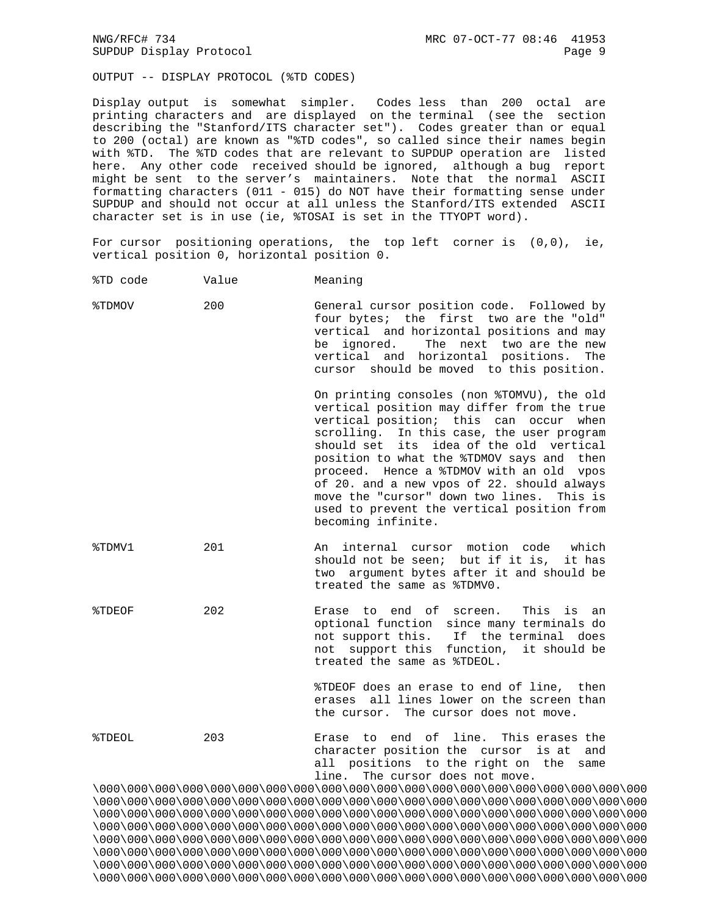OUTPUT -- DISPLAY PROTOCOL (%TD CODES)

Display output is somewhat simpler. Codes less than 200 octal are printing characters and are displayed on the terminal (see the section describing the "Stanford/ITS character set"). Codes greater than or equal to 200 (octal) are known as "%TD codes", so called since their names begin with %TD. The %TD codes that are relevant to SUPDUP operation are listed here. Any other code received should be ignored, although a bug report might be sent to the server's maintainers. Note that the normal ASCII formatting characters (011 - 015) do NOT have their formatting sense under SUPDUP and should not occur at all unless the Stanford/ITS extended ASCII character set is in use (ie, %TOSAI is set in the TTYOPT word).

For cursor positioning operations, the top left corner is (0,0), ie, vertical position 0, horizontal position 0.

- %TD code Value Meaning
- %TDMOV 200 General cursor position code. Followed by four bytes; the first two are the "old" vertical and horizontal positions and may be ignored. The next two are the new vertical and horizontal positions. The cursor should be moved to this position.

 On printing consoles (non %TOMVU), the old vertical position may differ from the true vertical position; this can occur when scrolling. In this case, the user program should set its idea of the old vertical position to what the %TDMOV says and then proceed. Hence a %TDMOV with an old vpos of 20. and a new vpos of 22. should always move the "cursor" down two lines. This is used to prevent the vertical position from becoming infinite.

- %TDMV1 201 An internal cursor motion code which should not be seen; but if it is, it has two argument bytes after it and should be treated the same as %TDMV0.
- %TDEOF 202 Erase to end of screen. This is an optional function since many terminals do not support this. If the terminal does not support this function, it should be treated the same as %TDEOL.

 %TDEOF does an erase to end of line, then erases all lines lower on the screen than the cursor. The cursor does not move.

%TDEOL 203 Erase to end of line. This erases the character position the cursor is at and all positions to the right on the same line. The cursor does not move.

\000\000\000\000\000\000\000\000\000\000\000\000\000\000\000\000\000\000\000\000 \000\000\000\000\000\000\000\000\000\000\000\000\000\000\000\000\000\000\000\000 \000\000\000\000\000\000\000\000\000\000\000\000\000\000\000\000\000\000\000\000 \000\000\000\000\000\000\000\000\000\000\000\000\000\000\000\000\000\000\000\000 \000\000\000\000\000\000\000\000\000\000\000\000\000\000\000\000\000\000\000\000 \000\000\000\000\000\000\000\000\000\000\000\000\000\000\000\000\000\000\000\000 \000\000\000\000\000\000\000\000\000\000\000\000\000\000\000\000\000\000\000\000 \000\000\000\000\000\000\000\000\000\000\000\000\000\000\000\000\000\000\000\000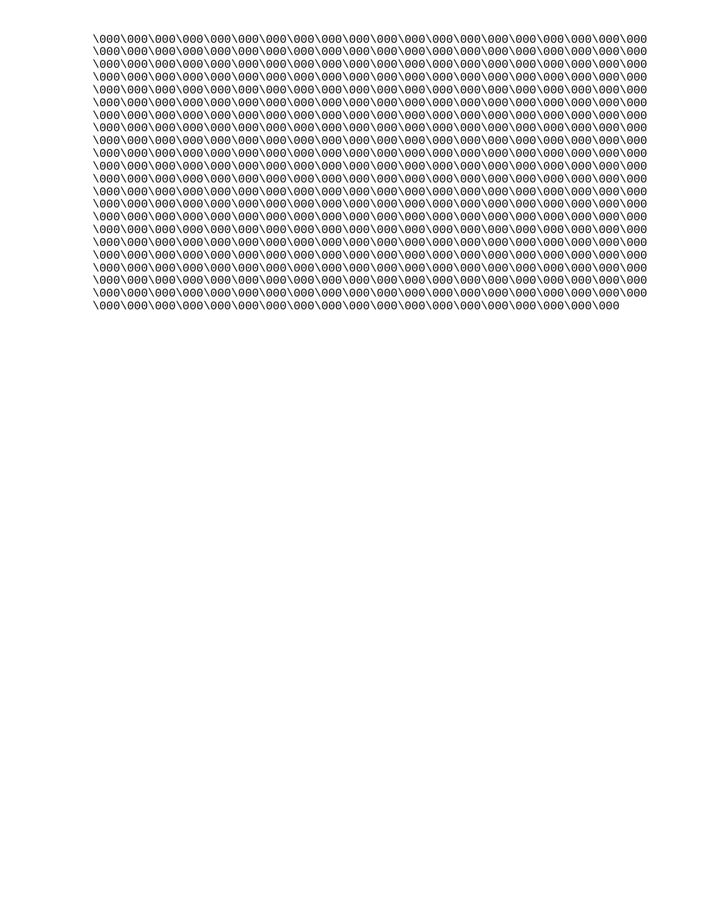\000\000\000\000\000\000\000\000\000\000\000\000\000\000\000\000\000\000\000\000 \000\000\000\000\000\000\000\000\000\000\000\000\000\000\000\000\000\000\000\000 \000\000\000\000\000\000\000\000\000\000\000\000\000\000\000\000\000\000\000\000 \000\000\000\000\000\000\000\000\000\000\000\000\000\000\000\000\000\000\000\000 \000\000\000\000\000\000\000\000\000\000\000\000\000\000\000\000\000\000\000\000 \000\000\000\000\000\000\000\000\000\000\000\000\000\000\000\000\000\000\000\000 \000\000\000\000\000\000\000\000\000\000\000\000\000\000\000\000\000\000\000\000 \000\000\000\000\000\000\000\000\000\000\000\000\000\000\000\000\000\000\000\000 \000\000\000\000\000\000\000\000\000\000\000\000\000\000\000\000\000\000\000\000 \000\000\000\000\000\000\000\000\000\000\000\000\000\000\000\000\000\000\000\000 \000\000\000\000\000\000\000\000\000\000\000\000\000\000\000\000\000\000\000\000 \000\000\000\000\000\000\000\000\000\000\000\000\000\000\000\000\000\000\000\000 \000\000\000\000\000\000\000\000\000\000\000\000\000\000\000\000\000\000\000\000 \000\000\000\000\000\000\000\000\000\000\000\000\000\000\000\000\000\000\000\000 \000\000\000\000\000\000\000\000\000\000\000\000\000\000\000\000\000\000\000\000 \000\000\000\000\000\000\000\000\000\000\000\000\000\000\000\000\000\000\000\000 \000\000\000\000\000\000\000\000\000\000\000\000\000\000\000\000\000\000\000\000 \000\000\000\000\000\000\000\000\000\000\000\000\000\000\000\000\000\000\000\000 \000\000\000\000\000\000\000\000\000\000\000\000\000\000\000\000\000\000\000\000 \000\000\000\000\000\000\000\000\000\000\000\000\000\000\000\000\000\000\000\000 \000\000\000\000\000\000\000\000\000\000\000\000\000\000\000\000\000\000\000\000 \000\000\000\000\000\000\000\000\000\000\000\000\000\000\000\000\000\000\000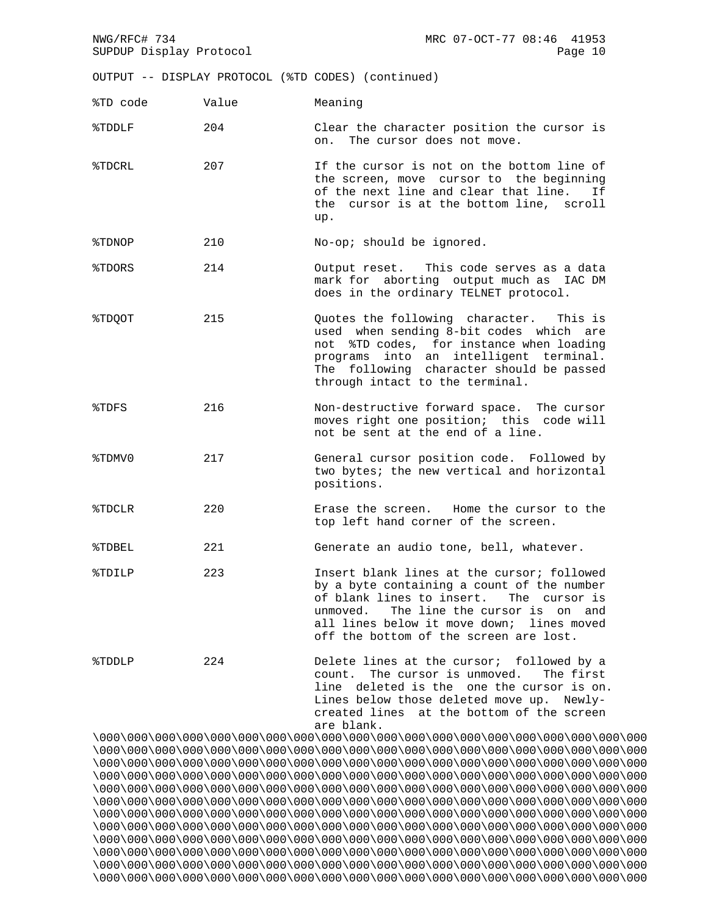| NWG/RFC# 734<br>SUPDUP Display Protocol |       | MRC 07-OCT-77 08:46 41953<br>Page 10                                                                                                                                                                                                                                       |
|-----------------------------------------|-------|----------------------------------------------------------------------------------------------------------------------------------------------------------------------------------------------------------------------------------------------------------------------------|
|                                         |       | OUTPUT -- DISPLAY PROTOCOL (%TD CODES) (continued)                                                                                                                                                                                                                         |
| %TD code                                | Value | Meaning                                                                                                                                                                                                                                                                    |
| %TDDLF                                  | 204   | Clear the character position the cursor is<br>on. The cursor does not move.                                                                                                                                                                                                |
| %TDCRL                                  | 207   | If the cursor is not on the bottom line of<br>the screen, move cursor to the beginning<br>of the next line and clear that line.<br>Ιf<br>the cursor is at the bottom line, scroll<br>up.                                                                                   |
| %TDNOP                                  | 210   | No-op; should be ignored.                                                                                                                                                                                                                                                  |
| %TDORS                                  | 214   | Output reset. This code serves as a data<br>mark for aborting output much as IAC DM<br>does in the ordinary TELNET protocol.                                                                                                                                               |
| %TDQOT                                  | 215   | Quotes the following character. This is<br>used when sending 8-bit codes which are<br>not %TD codes, for instance when loading<br>programs into an intelligent terminal.<br>The following character should be passed<br>through intact to the terminal.                    |
| %TDFS                                   | 216   | Non-destructive forward space. The cursor<br>moves right one position; this code will<br>not be sent at the end of a line.                                                                                                                                                 |
| %TDMV0                                  | 217   | General cursor position code. Followed by<br>two bytes; the new vertical and horizontal<br>positions.                                                                                                                                                                      |
| %TDCLR                                  | 220   | Erase the screen. Home the cursor to the<br>top left hand corner of the screen.                                                                                                                                                                                            |
| %TDBEL                                  | 221   | Generate an audio tone, bell, whatever.                                                                                                                                                                                                                                    |
| %TDILP                                  | 223   | Insert blank lines at the cursor; followed<br>by a byte containing a count of the number<br>of blank lines to insert. The cursor is<br>The line the cursor is on<br>unmoved.<br>and<br>all lines below it move down; lines moved<br>off the bottom of the screen are lost. |
| %TDDLP                                  | 224   | Delete lines at the cursor; followed by a<br>count. The cursor is unmoved. The first<br>line deleted is the one the cursor is on.<br>Lines below those deleted move up. Newly-<br>created lines at the bottom of the screen<br>are blank.                                  |

\000\000\000\000\000\000\000\000\000\000\000\000\000\000\000\000\000\000\000\000 \000\000\000\000\000\000\000\000\000\000\000\000\000\000\000\000\000\000\000\000 \000\000\000\000\000\000\000\000\000\000\000\000\000\000\000\000\000\000\000\000 \000\000\000\000\000\000\000\000\000\000\000\000\000\000\000\000\000\000\000\000 \000\000\000\000\000\000\000\000\000\000\000\000\000\000\000\000\000\000\000\000 \000\000\000\000\000\000\000\000\000\000\000\000\000\000\000\000\000\000\000\000 \000\000\000\000\000\000\000\000\000\000\000\000\000\000\000\000\000\000\000\000 \000\000\000\000\000\000\000\000\000\000\000\000\000\000\000\000\000\000\000\000 \000\000\000\000\000\000\000\000\000\000\000\000\000\000\000\000\000\000\000\000 \000\000\000\000\000\000\000\000\000\000\000\000\000\000\000\000\000\000\000\000 \000\000\000\000\000\000\000\000\000\000\000\000\000\000\000\000\000\000\000\000 \000\000\000\000\000\000\000\000\000\000\000\000\000\000\000\000\000\000\000\000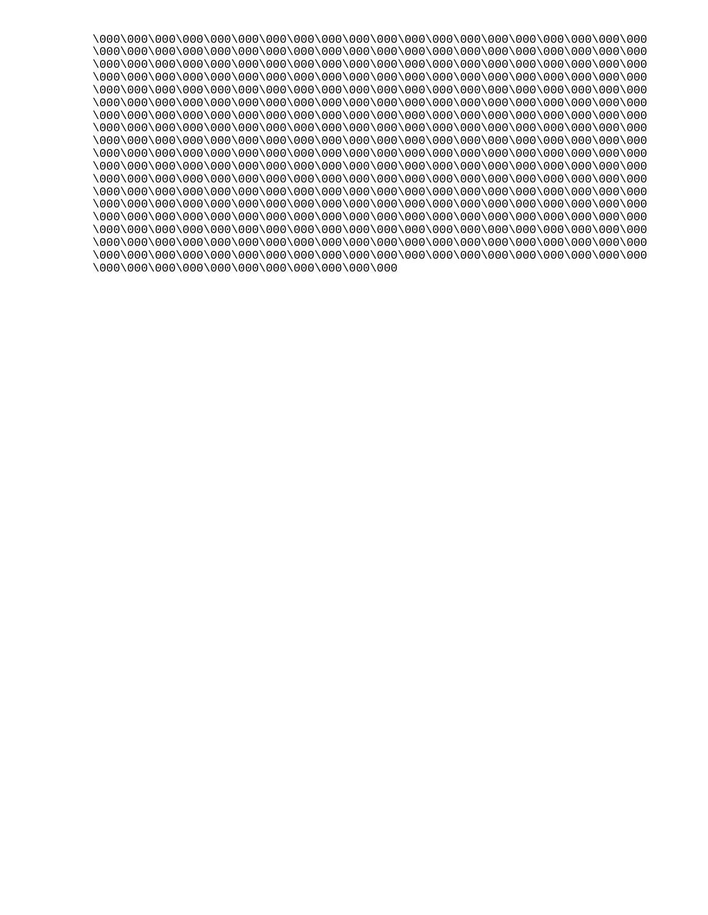\000\000\000\000\000\000\000\000\000\000\000\000\000\000\000\000\000\000\000\000 \000\000\000\000\000\000\000\000\000\000\000\000\000\000\000\000\000\000\000\000 \000\000\000\000\000\000\000\000\000\000\000\000\000\000\000\000\000\000\000\000 \000\000\000\000\000\000\000\000\000\000\000\000\000\000\000\000\000\000\000\000 \000\000\000\000\000\000\000\000\000\000\000\000\000\000\000\000\000\000\000\000 \000\000\000\000\000\000\000\000\000\000\000\000\000\000\000\000\000\000\000\000 \000\000\000\000\000\000\000\000\000\000\000\000\000\000\000\000\000\000\000\000 \000\000\000\000\000\000\000\000\000\000\000\000\000\000\000\000\000\000\000\000 \000\000\000\000\000\000\000\000\000\000\000\000\000\000\000\000\000\000\000\000 \000\000\000\000\000\000\000\000\000\000\000\000\000\000\000\000\000\000\000\000 \000\000\000\000\000\000\000\000\000\000\000\000\000\000\000\000\000\000\000\000 \000\000\000\000\000\000\000\000\000\000\000\000\000\000\000\000\000\000\000\000 \000\000\000\000\000\000\000\000\000\000\000\000\000\000\000\000\000\000\000\000 \000\000\000\000\000\000\000\000\000\000\000\000\000\000\000\000\000\000\000\000 \000\000\000\000\000\000\000\000\000\000\000\000\000\000\000\000\000\000\000\000 \000\000\000\000\000\000\000\000\000\000\000\000\000\000\000\000\000\000\000\000 \000\000\000\000\000\000\000\000\000\000\000\000\000\000\000\000\000\000\000\000 \000\000\000\000\000\000\000\000\000\000\000\000\000\000\000\000\000\000\000\000 \000\000\000\000\000\000\000\000\000\000\000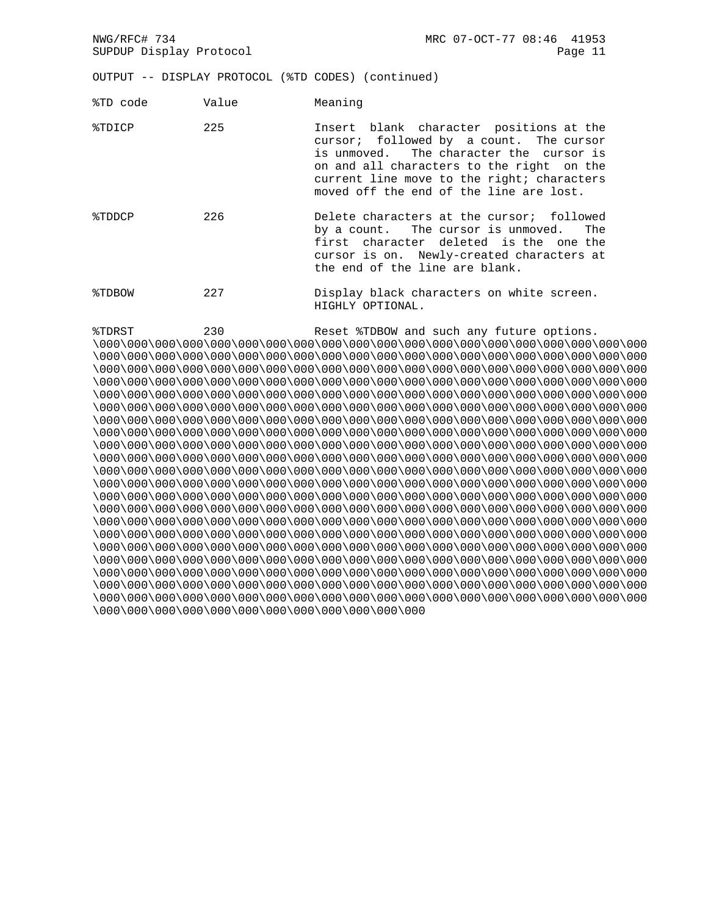NWG/RFC# 734 MRC 07-OCT-77 08:46 41953 SUPDUP Display Protocol and the control of the control of the control of the control of the control of the control of the control of the control of the control of the control of the control of the control of the control of OUTPUT -- DISPLAY PROTOCOL (%TD CODES) (continued) %TD code Value Meaning %TDICP 225 Insert blank character positions at the cursor; followed by a count. The cursor is unmoved. The character the cursor is on and all characters to the right on the current line move to the right; characters moved off the end of the line are lost. %TDDCP 226 Delete characters at the cursor; followed by a count. The cursor is unmoved. The first character deleted is the one the cursor is on. Newly-created characters at the end of the line are blank. %TDBOW 227 Display black characters on white screen. HIGHLY OPTIONAL. %TDRST 230 Reset %TDBOW and such any future options. \000\000\000\000\000\000\000\000\000\000\000\000\000\000\000\000\000\000\000\000 \000\000\000\000\000\000\000\000\000\000\000\000\000\000\000\000\000\000\000\000 \000\000\000\000\000\000\000\000\000\000\000\000\000\000\000\000\000\000\000\000 \000\000\000\000\000\000\000\000\000\000\000\000\000\000\000\000\000\000\000\000 \000\000\000\000\000\000\000\000\000\000\000\000\000\000\000\000\000\000\000\000 \000\000\000\000\000\000\000\000\000\000\000\000\000\000\000\000\000\000\000\000 \000\000\000\000\000\000\000\000\000\000\000\000\000\000\000\000\000\000\000\000 \000\000\000\000\000\000\000\000\000\000\000\000\000\000\000\000\000\000\000\000 \000\000\000\000\000\000\000\000\000\000\000\000\000\000\000\000\000\000\000\000

\000\000\000\000\000\000\000\000\000\000\000\000\000\000\000\000\000\000\000\000 \000\000\000\000\000\000\000\000\000\000\000\000\000\000\000\000\000\000\000\000 \000\000\000\000\000\000\000\000\000\000\000\000\000\000\000\000\000\000\000\000 \000\000\000\000\000\000\000\000\000\000\000\000\000\000\000\000\000\000\000\000 \000\000\000\000\000\000\000\000\000\000\000\000\000\000\000\000\000\000\000\000 \000\000\000\000\000\000\000\000\000\000\000\000\000\000\000\000\000\000\000\000 \000\000\000\000\000\000\000\000\000\000\000\000\000\000\000\000\000\000\000\000 \000\000\000\000\000\000\000\000\000\000\000\000\000\000\000\000\000\000\000\000 \000\000\000\000\000\000\000\000\000\000\000\000\000\000\000\000\000\000\000\000 \000\000\000\000\000\000\000\000\000\000\000\000\000\000\000\000\000\000\000\000 \000\000\000\000\000\000\000\000\000\000\000\000\000\000\000\000\000\000\000\000

\000\000\000\000\000\000\000\000\000\000\000\000\000\000\000\000\000\000\000\000 \000\000\000\000\000\000\000\000\000\000\000\000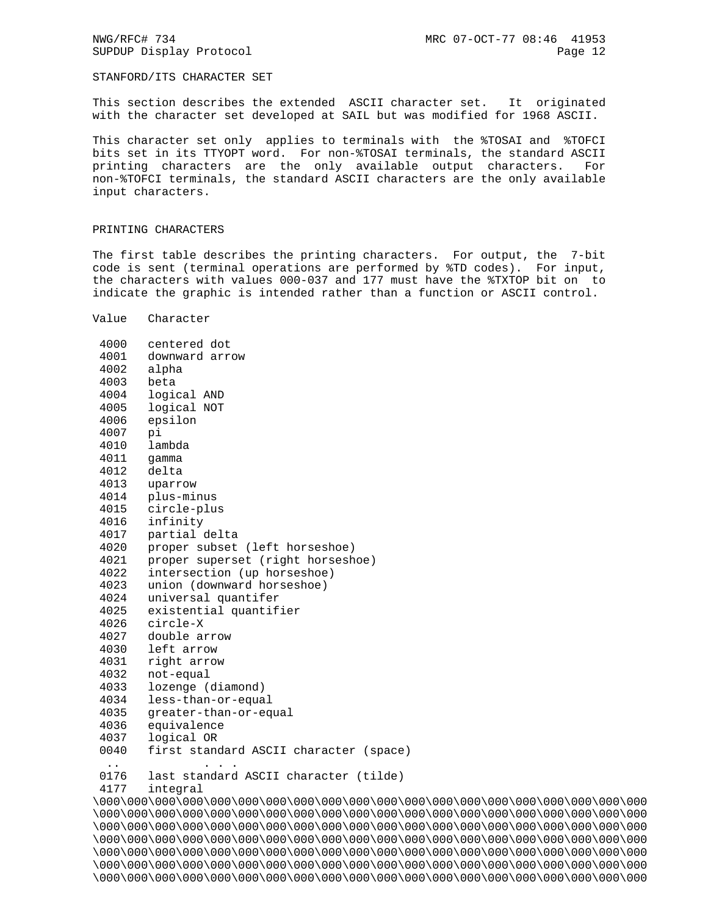## STANFORD/ITS CHARACTER SET

This section describes the extended ASCII character set. It originated with the character set developed at SAIL but was modified for 1968 ASCII.

This character set only applies to terminals with the %TOSAI and %TOFCI bits set in its TTYOPT word. For non-%TOSAI terminals, the standard ASCII printing characters are the only available output characters. For non-%TOFCI terminals, the standard ASCII characters are the only available input characters.

## PRINTING CHARACTERS

The first table describes the printing characters. For output, the 7-bit code is sent (terminal operations are performed by %TD codes). For input, the characters with values 000-037 and 177 must have the %TXTOP bit on to indicate the graphic is intended rather than a function or ASCII control.

Value Character

| 4000                 | centered dot                                                                     |
|----------------------|----------------------------------------------------------------------------------|
| 4001                 | downward arrow                                                                   |
| 4002                 | alpha                                                                            |
| 4003                 | beta                                                                             |
| 4004                 | logical AND                                                                      |
| 4005                 | logical NOT                                                                      |
| 4006                 | epsilon                                                                          |
| 4007                 | pi                                                                               |
| 4010                 | lambda                                                                           |
| 4011                 | qamma                                                                            |
| 4012                 | delta                                                                            |
| 4013                 | uparrow                                                                          |
| 4014                 | plus-minus                                                                       |
| 4015                 | circle-plus                                                                      |
| 4016                 | infinity                                                                         |
| 4017                 | partial delta                                                                    |
| 4020                 | proper subset (left horseshoe)                                                   |
| 4021                 | proper superset (right horseshoe)                                                |
| 4022                 | intersection (up horseshoe)                                                      |
| 4023                 | union (downward horseshoe)                                                       |
| 4024                 | universal quantifer                                                              |
| 4025                 | existential quantifier                                                           |
| 4026                 | circle-X                                                                         |
| 4027                 | double arrow                                                                     |
| 4030                 | left arrow                                                                       |
| 4031                 | right arrow                                                                      |
| 4032                 | not-equal                                                                        |
| 4033                 | lozenge (diamond)                                                                |
| 4034                 | less-than-or-equal                                                               |
| 4035                 | greater-than-or-equal                                                            |
| 4036                 | equivalence                                                                      |
| 4037                 | logical OR                                                                       |
| 0040                 | first standard ASCII character (space)                                           |
| $\ddot{\phantom{0}}$ |                                                                                  |
| 0176                 | last standard ASCII character (tilde)                                            |
| 4177                 | integral                                                                         |
|                      | \000\000\000\000\000\000\000\000\000\000\000\000\000\000\000\000\000\000\000\000 |
|                      | \000\000\000\000\000\000\000\000\000\000\000\000\000\000\000\000\000\000\000\000 |
|                      | \000\000\000\000\000\000\000\000\000\000\000\000\000\000\000\000\000\000\000\000 |
|                      | \000\000\000\000\000\000\000\000\000\000\000\000\000\000\000\000\000\000\000\    |
|                      | \000\000\000\000\000\000\000\000\000\000\000\000\000\000\000\000\000\000\000\    |
|                      | \000\000\000\000\000\000\000\000\000\000\000\000\000\000\000\000\000\000\000\000 |

\000\000\000\000\000\000\000\000\000\000\000\000\000\000\000\000\000\000\000\000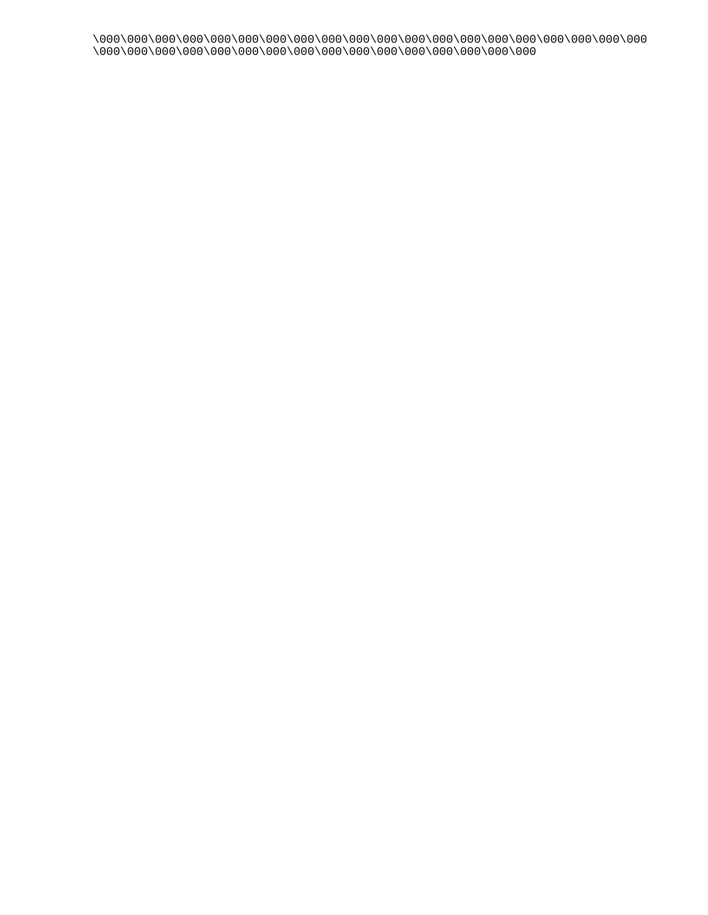\000\000\000\000\000\000\000\000\000\000\000\000\000\000\000\000\000\000\000\000 \000\000\000\000\000\000\000\000\000\000\000\000\000\000\000\000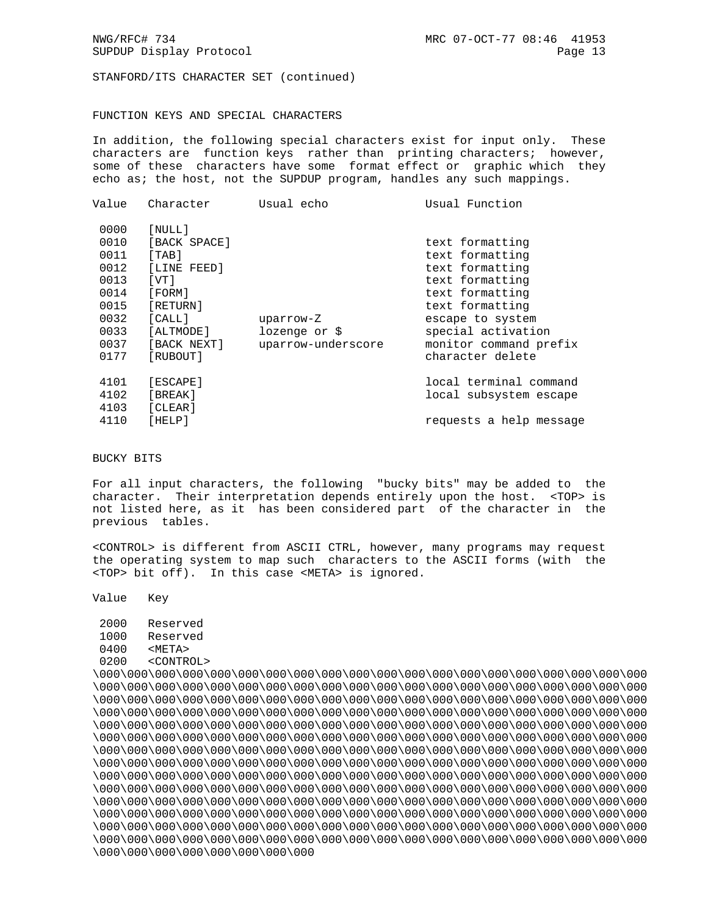STANFORD/ITS CHARACTER SET (continued)

## FUNCTION KEYS AND SPECIAL CHARACTERS

In addition, the following special characters exist for input only. These characters are function keys rather than printing characters; however, some of these characters have some format effect or graphic which they echo as; the host, not the SUPDUP program, handles any such mappings.

| Value | Character    | Usual echo         | Usual Function          |
|-------|--------------|--------------------|-------------------------|
| 0000  | [NULL]       |                    |                         |
| 0010  | [BACK SPACE] |                    | text formatting         |
| 0011  | [TAB]        |                    | text formatting         |
| 0012  | [LINE FEED]  |                    | text formatting         |
| 0013  | [VT]         |                    | text formatting         |
| 0014  | [FORM]       |                    | text formatting         |
| 0015  | [RETURN]     |                    | text formatting         |
| 0032  | [CALL]       | uparrow-Z          | escape to system        |
| 0033  | [ALTMODE]    | lozenge or \$      | special activation      |
| 0037  | [BACK NEXT]  | uparrow-underscore | monitor command prefix  |
| 0177  | [RUBOUT]     |                    | character delete        |
| 4101  | [ESCAPE]     |                    | local terminal command  |
| 4102  | [BREAK]      |                    | local subsystem escape  |
| 4103  | [CLEAR]      |                    |                         |
| 4110  | [HELP]       |                    | requests a help message |
|       |              |                    |                         |

BUCKY BITS

For all input characters, the following "bucky bits" may be added to the character. Their interpretation depends entirely upon the host. <TOP> is not listed here, as it has been considered part of the character in the previous tables.

<CONTROL> is different from ASCII CTRL, however, many programs may request the operating system to map such characters to the ASCII forms (with the <TOP> bit off). In this case <META> is ignored.

Value Key

 2000 Reserved 1000 Reserved 0400 <META> 0200 <CONTROL>

\000\000\000\000\000\000\000\000\000\000\000\000\000\000\000\000\000\000\000\000 \000\000\000\000\000\000\000\000\000\000\000\000\000\000\000\000\000\000\000\000 \000\000\000\000\000\000\000\000\000\000\000\000\000\000\000\000\000\000\000\000 \000\000\000\000\000\000\000\000\000\000\000\000\000\000\000\000\000\000\000\000 \000\000\000\000\000\000\000\000\000\000\000\000\000\000\000\000\000\000\000\000 \000\000\000\000\000\000\000\000\000\000\000\000\000\000\000\000\000\000\000\000 \000\000\000\000\000\000\000\000\000\000\000\000\000\000\000\000\000\000\000\000 \000\000\000\000\000\000\000\000\000\000\000\000\000\000\000\000\000\000\000\000 \000\000\000\000\000\000\000\000\000\000\000\000\000\000\000\000\000\000\000\000 \000\000\000\000\000\000\000\000\000\000\000\000\000\000\000\000\000\000\000\000 \000\000\000\000\000\000\000\000\000\000\000\000\000\000\000\000\000\000\000\000 \000\000\000\000\000\000\000\000\000\000\000\000\000\000\000\000\000\000\000\000 \000\000\000\000\000\000\000\000\000\000\000\000\000\000\000\000\000\000\000\000 \000\000\000\000\000\000\000\000\000\000\000\000\000\000\000\000\000\000\000\000 \000\000\000\000\000\000\000\000